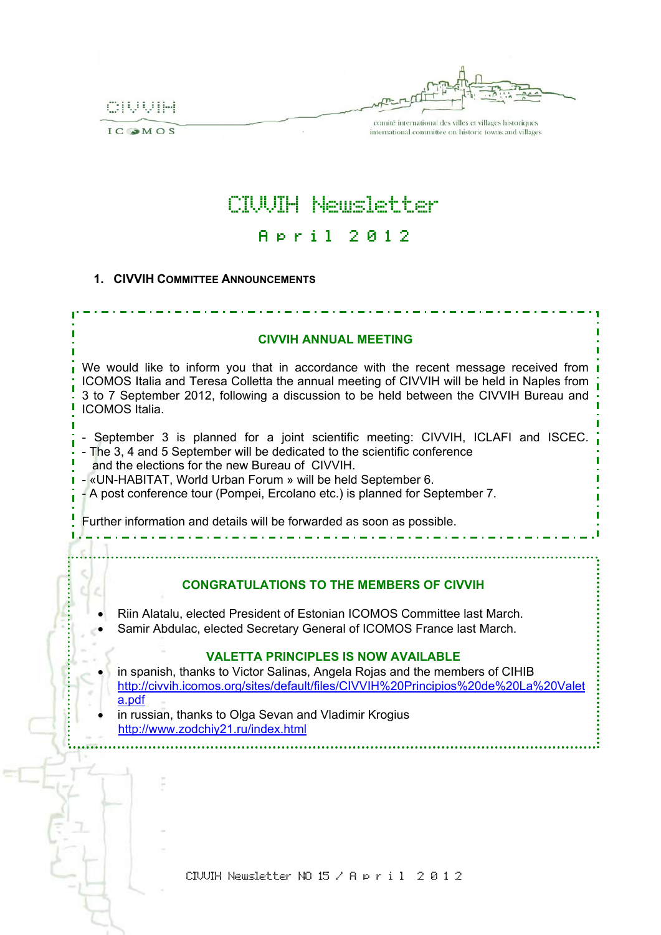CIUUIH

IC OMOS

**\*\*\*\*\*\*\*\*\*\*\*\*\*\*** 

........

.......

comité international des villes et villages historiques international committee on historic towns and villages

# CIVVIH Newsletter A p r i l 2 0 1 2

### **1. CIVVIH COMMITTEE ANNOUNCEMENTS**

#### **CIVVIH ANNUAL MEETING**

We would like to inform you that in accordance with the recent message received from ICOMOS Italia and Teresa Colletta the annual meeting of CIVVIH will be held in Naples from 3 to 7 September 2012, following a discussion to be held between the CIVVIH Bureau and ICOMOS Italia.

- September 3 is planned for a joint scientific meeting: CIVVIH, ICLAFI and ISCEC. - The 3, 4 and 5 September will be dedicated to the scientific conference
- and the elections for the new Bureau of CIVVIH.
- «UN-HABITAT, World Urban Forum » will be held September 6.
- A post conference tour (Pompei, Ercolano etc.) is planned for September 7.

Further information and details will be forwarded as soon as possible.

# **CONGRATULATIONS TO THE MEMBERS OF CIVVIH**

- Riin Alatalu, elected President of Estonian ICOMOS Committee last March.
- Samir Abdulac, elected Secretary General of ICOMOS France last March.

# **VALETTA PRINCIPLES IS NOW AVAILABLE**

- in spanish, thanks to Victor Salinas, Angela Rojas and the members of CIHIB http://civvih.icomos.org/sites/default/files/CIVVIH%20Principios%20de%20La%20Valet a.pdf
- in russian, thanks to Olga Sevan and Vladimir Krogius http://www.zodchiy21.ru/index.html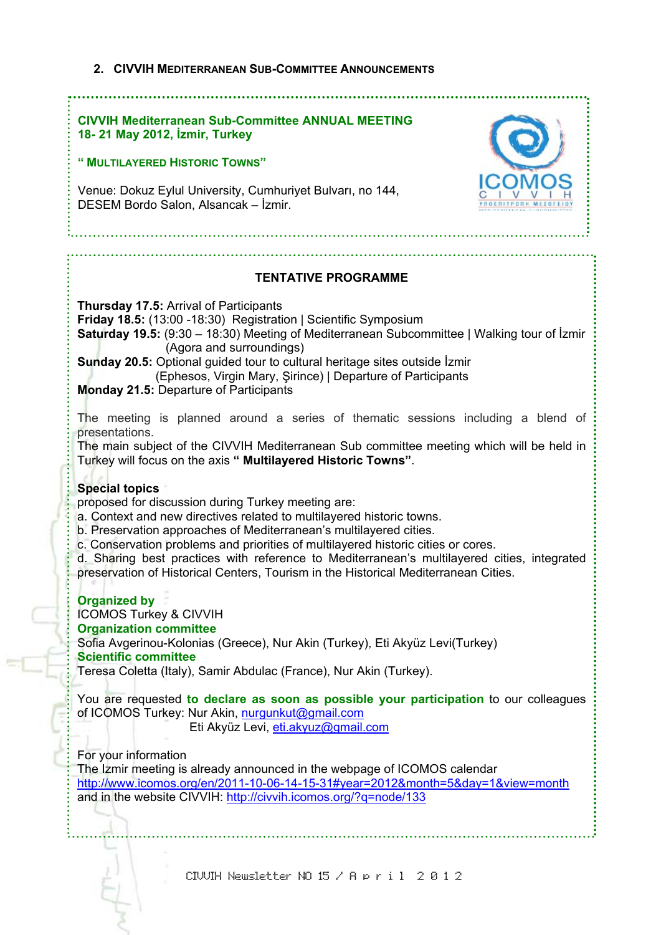# **2. CIVVIH MEDITERRANEAN SUB-COMMITTEE ANNOUNCEMENTS**

# **CIVVIH Mediterranean Sub-Committee ANNUAL MEETING 18- 21 May 2012, İzmir, Turkey**

# **" MULTILAYERED HISTORIC TOWNS"**

Venue: Dokuz Eylul University, Cumhuriyet Bulvarı, no 144, DESEM Bordo Salon, Alsancak – İzmir.



# **TENTATIVE PROGRAMME**

**Thursday 17.5:** Arrival of Participants **Friday 18.5:** (13:00 -18:30) Registration | Scientific Symposium **Saturday 19.5:** (9:30 – 18:30) Meeting of Mediterranean Subcommittee | Walking tour of İzmir (Agora and surroundings) **Sunday 20.5:** Optional guided tour to cultural heritage sites outside İzmir (Ephesos, Virgin Mary, Şirince) | Departure of Participants **Monday 21.5:** Departure of Participants The meeting is planned around a series of thematic sessions including a blend of presentations. The main subject of the CIVVIH Mediterranean Sub committee meeting which will be held in Turkey will focus on the axis **" Multilayered Historic Towns"**. **Special topics** proposed for discussion during Turkey meeting are: a. Context and new directives related to multilayered historic towns. b. Preservation approaches of Mediterranean's multilayered cities. c. Conservation problems and priorities of multilayered historic cities or cores. d. Sharing best practices with reference to Mediterranean's multilayered cities, integrated preservation of Historical Centers, Tourism in the Historical Mediterranean Cities. **Organized by**  ICOMOS Turkey & CIVVIH **Organization committee**  Sofia Avgerinou-Kolonias (Greece), Nur Akin (Turkey), Eti Akyüz Levi(Turkey) **Scientific committee**  Teresa Coletta (Italy), Samir Abdulac (France), Nur Akin (Turkey). You are requested **to declare as soon as possible your participation** to our colleagues of ICOMOS Turkey: Nur Akin, nurgunkut@gmail.com Eti Akyüz Levi, eti.akyuz@gmail.com For your information The Izmir meeting is already announced in the webpage of ICOMOS calendar http://www.icomos.org/en/2011-10-06-14-15-31#year=2012&month=5&day=1&view=month and in the website CIVVIH: http://civvih.icomos.org/?q=node/133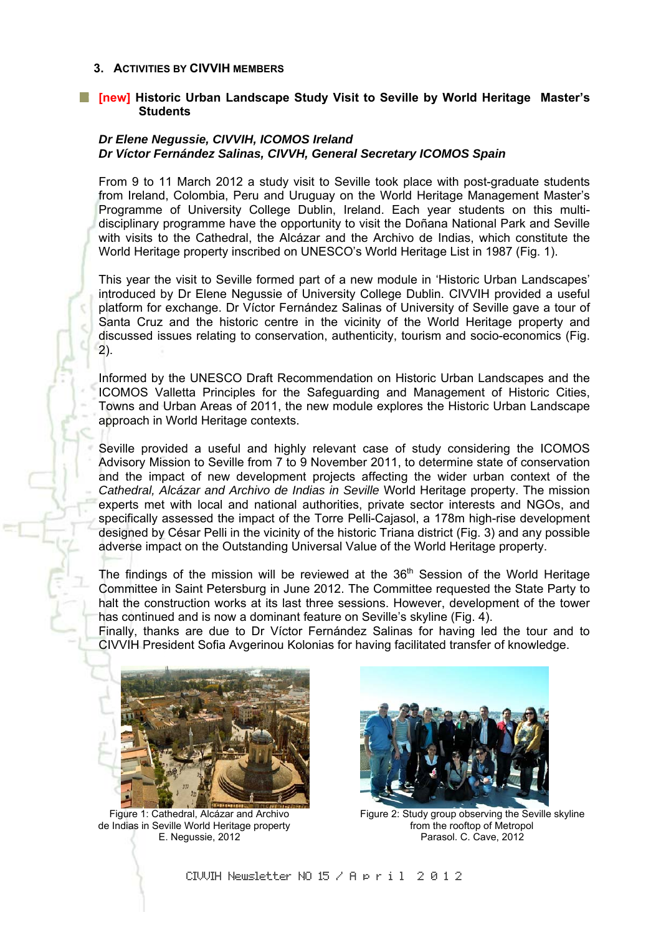#### **3. ACTIVITIES BY CIVVIH MEMBERS**

#### **[new] Historic Urban Landscape Study Visit to Seville by World Heritage Master's Students**

### *Dr Elene Negussie, CIVVIH, ICOMOS Ireland Dr Víctor Fernández Salinas, CIVVH, General Secretary ICOMOS Spain*

From 9 to 11 March 2012 a study visit to Seville took place with post-graduate students from Ireland, Colombia, Peru and Uruguay on the World Heritage Management Master's Programme of University College Dublin, Ireland. Each year students on this multidisciplinary programme have the opportunity to visit the Doñana National Park and Seville with visits to the Cathedral, the Alcázar and the Archivo de Indias, which constitute the World Heritage property inscribed on UNESCO's World Heritage List in 1987 (Fig. 1).

This year the visit to Seville formed part of a new module in 'Historic Urban Landscapes' introduced by Dr Elene Negussie of University College Dublin. CIVVIH provided a useful platform for exchange. Dr Víctor Fernández Salinas of University of Seville gave a tour of Santa Cruz and the historic centre in the vicinity of the World Heritage property and discussed issues relating to conservation, authenticity, tourism and socio-economics (Fig. 2).

Informed by the UNESCO Draft Recommendation on Historic Urban Landscapes and the ICOMOS Valletta Principles for the Safeguarding and Management of Historic Cities, Towns and Urban Areas of 2011, the new module explores the Historic Urban Landscape approach in World Heritage contexts.

Seville provided a useful and highly relevant case of study considering the ICOMOS Advisory Mission to Seville from 7 to 9 November 2011, to determine state of conservation and the impact of new development projects affecting the wider urban context of the *Cathedral, Alcázar and Archivo de Indias in Seville* World Heritage property. The mission experts met with local and national authorities, private sector interests and NGOs, and specifically assessed the impact of the Torre Pelli-Cajasol, a 178m high-rise development designed by César Pelli in the vicinity of the historic Triana district (Fig. 3) and any possible adverse impact on the Outstanding Universal Value of the World Heritage property.

The findings of the mission will be reviewed at the 36<sup>th</sup> Session of the World Heritage Committee in Saint Petersburg in June 2012. The Committee requested the State Party to halt the construction works at its last three sessions. However, development of the tower has continued and is now a dominant feature on Seville's skyline (Fig. 4).

Finally, thanks are due to Dr Víctor Fernández Salinas for having led the tour and to CIVVIH President Sofia Avgerinou Kolonias for having facilitated transfer of knowledge.



de Indias in Seville World Heritage property from the rooftop of Metropol



Figure 1: Cathedral, Alcázar and Archivo Figure 2: Study group observing the Seville skyline E. Negussie, 2012 Parasol. C. Cave, 2012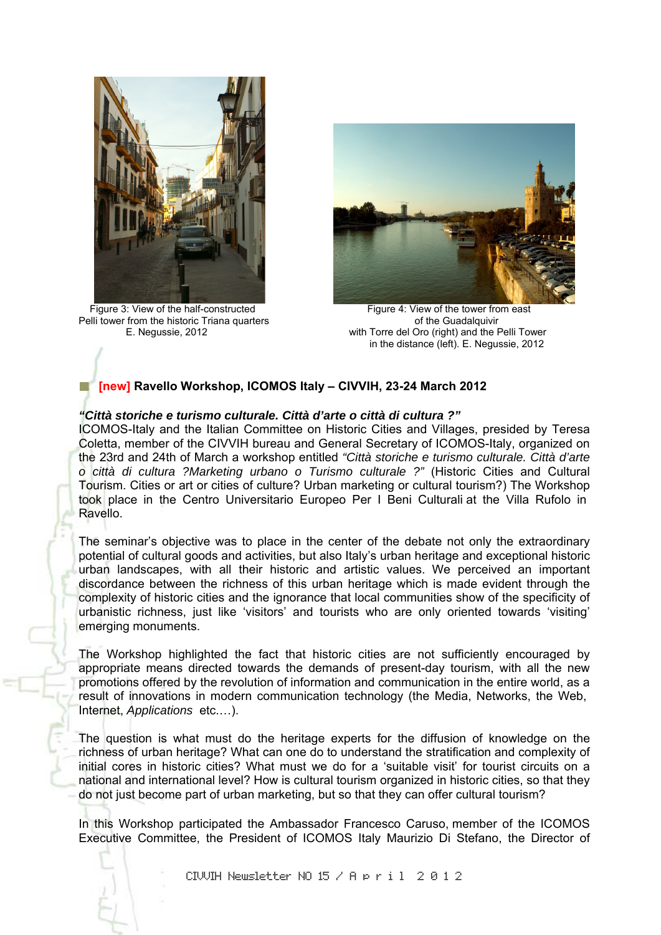

Pelli tower from the historic Triana quarters



Figure 3: View of the half-constructed<br>
elli tower from the historic Triana quarters<br>
of the Guadalguivir E. Negussie, 2012 with Torre del Oro (right) and the Pelli Tower in the distance (left). E. Negussie, 2012

# **[new] Ravello Workshop, ICOMOS Italy – CIVVIH, 23-24 March 2012**

# *"Città storiche e turismo culturale. Città d'arte o città di cultura ?"*

ICOMOS-Italy and the Italian Committee on Historic Cities and Villages, presided by Teresa Coletta, member of the CIVVIH bureau and General Secretary of ICOMOS-Italy, organized on the 23rd and 24th of March a workshop entitled *"Città storiche e turismo culturale. Città d'arte o città di cultura ?Marketing urbano o Turismo culturale ?"* (Historic Cities and Cultural Tourism. Cities or art or cities of culture? Urban marketing or cultural tourism?) The Workshop took place in the Centro Universitario Europeo Per I Beni Culturali at the Villa Rufolo in Ravello.

The seminar's objective was to place in the center of the debate not only the extraordinary potential of cultural goods and activities, but also Italy's urban heritage and exceptional historic urban landscapes, with all their historic and artistic values. We perceived an important discordance between the richness of this urban heritage which is made evident through the complexity of historic cities and the ignorance that local communities show of the specificity of urbanistic richness, just like 'visitors' and tourists who are only oriented towards 'visiting' emerging monuments.

The Workshop highlighted the fact that historic cities are not sufficiently encouraged by appropriate means directed towards the demands of present-day tourism, with all the new promotions offered by the revolution of information and communication in the entire world, as a result of innovations in modern communication technology (the Media, Networks, the Web, Internet, *Applications* etc.…).

The question is what must do the heritage experts for the diffusion of knowledge on the richness of urban heritage? What can one do to understand the stratification and complexity of initial cores in historic cities? What must we do for a 'suitable visit' for tourist circuits on a national and international level? How is cultural tourism organized in historic cities, so that they do not just become part of urban marketing, but so that they can offer cultural tourism?

In this Workshop participated the Ambassador Francesco Caruso, member of the ICOMOS Executive Committee, the President of ICOMOS Italy Maurizio Di Stefano, the Director of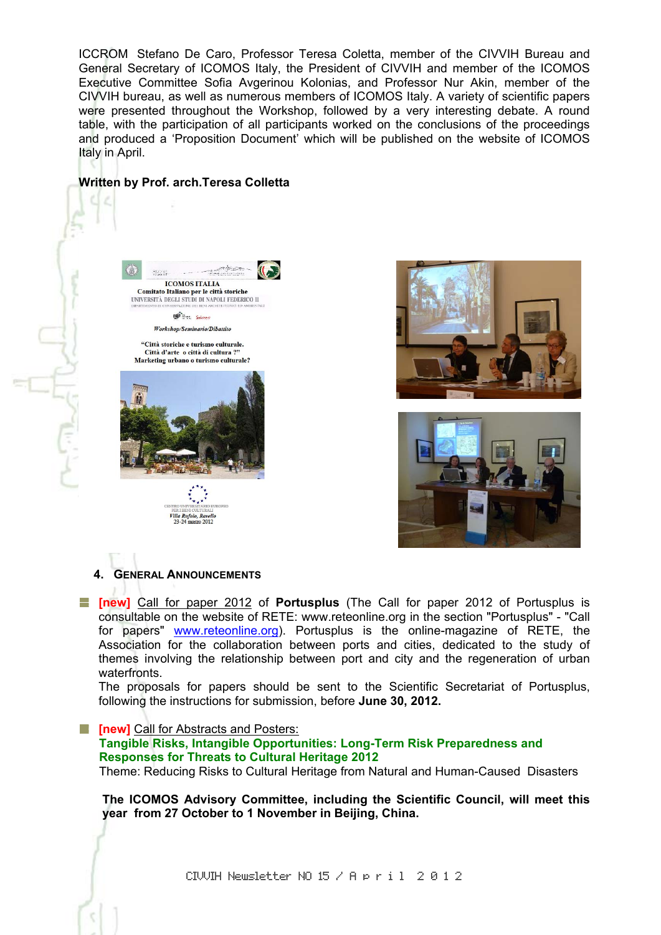ICCROM Stefano De Caro, Professor Teresa Coletta, member of the CIVVIH Bureau and General Secretary of ICOMOS Italy, the President of CIVVIH and member of the ICOMOS Executive Committee Sofia Avgerinou Kolonias, and Professor Nur Akin, member of the CIVVIH bureau, as well as numerous members of ICOMOS Italy. A variety of scientific papers were presented throughout the Workshop, followed by a very interesting debate. A round table, with the participation of all participants worked on the conclusions of the proceedings and produced a 'Proposition Document' which will be published on the website of ICOMOS Italy in April.

#### **Written by Prof. arch.Teresa Colletta**









#### **4. GENERAL ANNOUNCEMENTS**

Villa Rufolo, Ro 23-24 marzo 2012

**[new]** Call for paper 2012 of **Portusplus** (The Call for paper 2012 of Portusplus is consultable on the website of RETE: www.reteonline.org in the section "Portusplus" - "Call for papers" www.reteonline.org). Portusplus is the online-magazine of RETE, the Association for the collaboration between ports and cities, dedicated to the study of themes involving the relationship between port and city and the regeneration of urban waterfronts.

The proposals for papers should be sent to the Scientific Secretariat of Portusplus, following the instructions for submission, before **June 30, 2012.** 

**Fig. [new]** Call for Abstracts and Posters:

 **Tangible Risks, Intangible Opportunities: Long-Term Risk Preparedness and Responses for Threats to Cultural Heritage 2012** Theme: Reducing Risks to Cultural Heritage from Natural and Human-Caused Disasters

**The ICOMOS Advisory Committee, including the Scientific Council, will meet this year from 27 October to 1 November in Beijing, China.**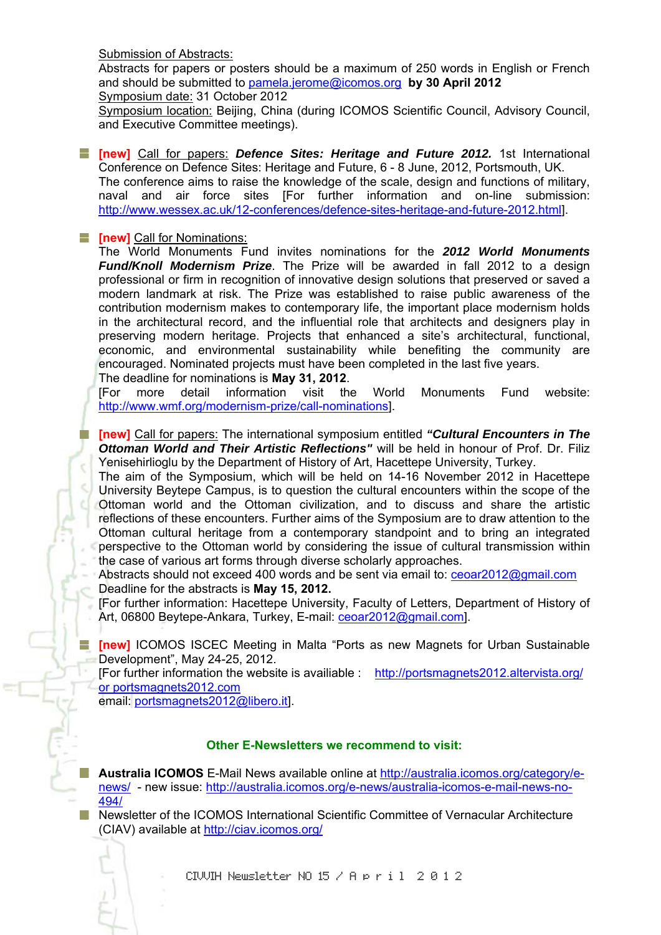Submission of Abstracts:

Abstracts for papers or posters should be a maximum of 250 words in English or French and should be submitted to pamela.jerome@icomos.org **by 30 April 2012** Symposium date: 31 October 2012

Symposium location: Beijing, China (during ICOMOS Scientific Council, Advisory Council, and Executive Committee meetings).

**[new]** Call for papers: *Defence Sites: Heritage and Future 2012.* 1st International Conference on Defence Sites: Heritage and Future, 6 - 8 June, 2012, Portsmouth, UK. The conference aims to raise the knowledge of the scale, design and functions of military, naval and air force sites [For further information and on-line submission: http://www.wessex.ac.uk/12-conferences/defence-sites-heritage-and-future-2012.html].

# **Fig. 5 [new]** Call for Nominations:

43

The World Monuments Fund invites nominations for the *2012 World Monuments Fund/Knoll Modernism Prize*. The Prize will be awarded in fall 2012 to a design professional or firm in recognition of innovative design solutions that preserved or saved a modern landmark at risk. The Prize was established to raise public awareness of the contribution modernism makes to contemporary life, the important place modernism holds in the architectural record, and the influential role that architects and designers play in preserving modern heritage. Projects that enhanced a site's architectural, functional, economic, and environmental sustainability while benefiting the community are encouraged. Nominated projects must have been completed in the last five years. The deadline for nominations is **May 31, 2012**.

[For more detail information visit the World Monuments Fund website: http://www.wmf.org/modernism-prize/call-nominations].

**[new]** Call for papers: The international symposium entitled *"Cultural Encounters in The Ottoman World and Their Artistic Reflections"* will be held in honour of Prof. Dr. Filiz Yenisehirlioglu by the Department of History of Art, Hacettepe University, Turkey.

The aim of the Symposium, which will be held on 14-16 November 2012 in Hacettepe University Beytepe Campus, is to question the cultural encounters within the scope of the Ottoman world and the Ottoman civilization, and to discuss and share the artistic reflections of these encounters. Further aims of the Symposium are to draw attention to the Ottoman cultural heritage from a contemporary standpoint and to bring an integrated perspective to the Ottoman world by considering the issue of cultural transmission within the case of various art forms through diverse scholarly approaches.

Abstracts should not exceed 400 words and be sent via email to: ceoar2012@gmail.com Deadline for the abstracts is **May 15, 2012.**

[For further information: Hacettepe University, Faculty of Letters, Department of History of Art, 06800 Beytepe-Ankara, Turkey, E-mail: ceoar2012@gmail.com].

**[new]** ICOMOS ISCEC Meeting in Malta "Ports as new Magnets for Urban Sustainable Development", May 24-25, 2012.

[For further information the website is availiable : http://portsmagnets2012.altervista.org/ or portsmagnets2012.com

email: portsmagnets2012@libero.it].

# **Other E-Newsletters we recommend to visit:**

**Australia ICOMOS** E-Mail News available online at http://australia.icomos.org/category/enews/ - new issue: http://australia.icomos.org/e-news/australia-icomos-e-mail-news-no-494/

**Newsletter of the ICOMOS International Scientific Committee of Vernacular Architecture** (CIAV) available at http://ciav.icomos.org/